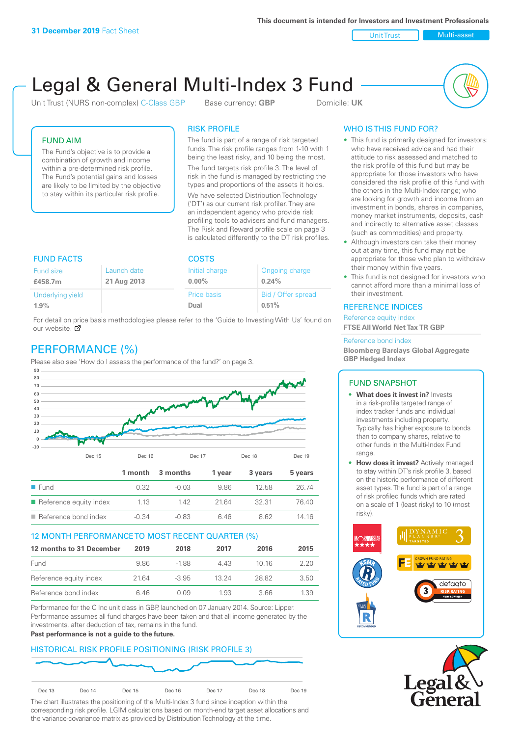**This document is intended for Investors and Investment Professionals**

Unit Trust Nulti-asset

# Legal & General Multi-Index 3 Fund

Unit Trust (NURS non-complex) C-Class GBP Base currency: **GBP** Domicile: UK



## FUND AIM

The Fund's objective is to provide a combination of growth and income within a pre-determined risk profile. The Fund's potential gains and losses are likely to be limited by the objective to stay within its particular risk profile.

### RISK PROFILE

The fund is part of a range of risk targeted funds. The risk profile ranges from 1-10 with 1 being the least risky, and 10 being the most.

The fund targets risk profile 3. The level of risk in the fund is managed by restricting the types and proportions of the assets it holds. We have selected Distribution Technology ('DT') as our current risk profiler. They are an independent agency who provide risk profiling tools to advisers and fund managers. The Risk and Reward profile scale on page 3 is calculated differently to the DT risk profiles.

| <b>FUND FACTS</b> |             | <b>COSTS</b>   |                    |  |
|-------------------|-------------|----------------|--------------------|--|
| Fund size         | Launch date | Initial charge | Ongoing charge     |  |
| £458.7m           | 21 Aug 2013 | $0.00\%$       | 0.24%              |  |
| Underlying yield  |             | Price basis    | Bid / Offer spread |  |
| 1.9%              |             | Dual           | 0.51%              |  |

For detail on price basis methodologies please refer to the 'Guide to Investing With Us' found on our website. Ø

# PERFORMANCE (%)

Please also see 'How do I assess the performance of the fund?' on page 3.



#### 12 MONTH PERFORMANCE TO MOST RECENT QUARTER (%)

| 12 months to 31 December | 2019 | 2018    | 2017  | 2016  | 2015 |
|--------------------------|------|---------|-------|-------|------|
| Fund                     | 986  | -188    | 4 4 3 | 10 16 | 2.20 |
| Reference equity index   | 2164 | $-3.95$ | 13 24 | 28.82 | 3.50 |
| Reference bond index     | 6 46 | N N9    | 1.93  | 3.66  | 1.39 |

Performance for the C Inc unit class in GBP, launched on 07 January 2014. Source: Lipper. Performance assumes all fund charges have been taken and that all income generated by the investments, after deduction of tax, remains in the fund.

#### **Past performance is not a guide to the future.**

# HISTORICAL RISK PROFILE POSITIONING (RISK PROFILE 3)



The chart illustrates the positioning of the Multi-Index 3 fund since inception within the corresponding risk profile. LGIM calculations based on month-end target asset allocations and the variance-covariance matrix as provided by Distribution Technology at the time.

# WHO IS THIS FUND FOR?

- This fund is primarily designed for investors: who have received advice and had their attitude to risk assessed and matched to the risk profile of this fund but may be appropriate for those investors who have considered the risk profile of this fund with the others in the Multi-Index range; who are looking for growth and income from an investment in bonds, shares in companies, money market instruments, deposits, cash and indirectly to alternative asset classes (such as commodities) and property.
- Although investors can take their money out at any time, this fund may not be appropriate for those who plan to withdraw their money within five years.
- This fund is not designed for investors who cannot afford more than a minimal loss of their investment.

#### REFERENCE INDICES

Reference equity index **FTSE All World Net Tax TR GBP**

#### Reference bond index

**Bloomberg Barclays Global Aggregate GBP Hedged Index**

#### FUND SNAPSHOT

- **• What does it invest in?** Invests in a risk-profile targeted range of index tracker funds and individual investments including property. Typically has higher exposure to bonds than to company shares, relative to other funds in the Multi-Index Fund range.
- **• How does it invest?** Actively managed to stay within DT's risk profile 3, based on the historic performance of different asset types. The fund is part of a range of risk profiled funds which are rated on a scale of 1 (least risky) to 10 (most risky).



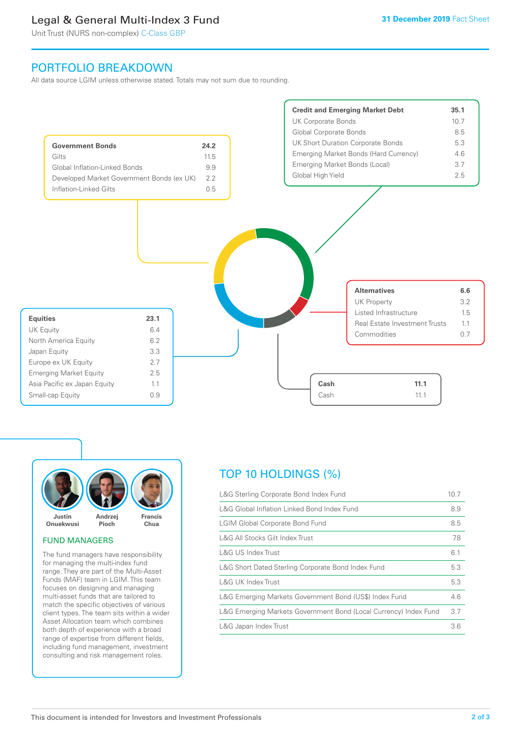# Legal & General Multi-Index 3 Fund

Unit Trust (NURS non-complex) C-Class GBP

# PORTFOLIO BREAKDOWN

All data source LGIM unless otherwise stated. Totals may not sum due to rounding.





#### FUND MANAGERS

The fund managers have responsibility for managing the multi-index fund range. They are part of the Multi-Asset Funds (MAF) team in LGIM. This team focuses on designing and managing multi-asset funds that are tailored to match the specific objectives of various client types. The team sits within a wider Asset Allocation team which combines both depth of experience with a broad range of expertise from different fields, including fund management, investment consulting and risk management roles.

# TOP 10 HOLDINGS (%)

| L&G Sterling Corporate Bond Index Fund                           | 10.7 |
|------------------------------------------------------------------|------|
| L&G Global Inflation Linked Bond Index Fund                      | 8.9  |
| <b>LGIM Global Corporate Bond Fund</b>                           | 8.5  |
| L&G All Stocks Gilt Index Trust                                  | 7.8  |
| L&G US Index Trust                                               | 6.1  |
| L&G Short Dated Sterling Corporate Bond Index Fund               | 5.3  |
| L&G UK Index Trust                                               | 5.3  |
| L&G Emerging Markets Government Bond (US\$) Index Fund           | 4.6  |
| L&G Emerging Markets Government Bond (Local Currency) Index Fund | 3.7  |
| L&G Japan Index Trust                                            | 3.6  |